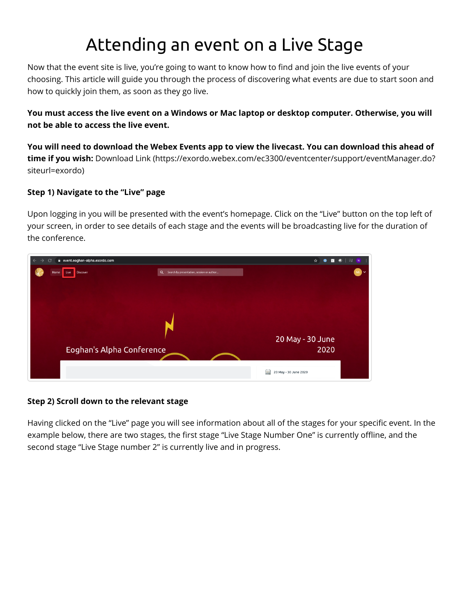# Attending an event on a Live Stage

Now that the event site is live, you're going to want to know how to find and join the live events of your choosing. This article will guide you through the process of discovering what events are due to start soon and how to quickly join them, as soon as they go live.

**You must access the live event on a Windows or Mac laptop or desktop computer. Otherwise, you will not be able to access the live event.** 

**You will need to download the Webex Events app to view the livecast. You can download this ahead of time if you wish:** [Download Link \(https://exordo.webex.com/ec3300/eventcenter/support/eventManager.do?](https://exordo.webex.com/ec3300/eventcenter/support/eventManager.do?siteurl=exordo) siteurl=exordo)

### **Step 1) Navigate to the "Live" page**

Upon logging in you will be presented with the event's homepage. Click on the "Live" button on the top left of your screen, in order to see details of each stage and the events will be broadcasting live for the duration of the conference.

| event.eoghan-alpha.exordo.com<br>$\epsilon$<br>→ |                                                       | ☆<br>$\equiv$<br>$\bullet$<br>Ο<br>Гa<br>N |
|--------------------------------------------------|-------------------------------------------------------|--------------------------------------------|
| Live<br>Discover<br>Home                         | $\alpha$<br>Search by presentation, session or author | NG.                                        |
|                                                  |                                                       |                                            |
|                                                  |                                                       |                                            |
|                                                  |                                                       |                                            |
|                                                  |                                                       |                                            |
|                                                  |                                                       |                                            |
|                                                  |                                                       | 20 May - 30 June                           |
|                                                  | Eoghan's Alpha Conference                             | 2020                                       |
|                                                  |                                                       |                                            |
|                                                  |                                                       | 臝<br>20 May - 30 June 2020                 |

#### **Step 2) Scroll down to the relevant stage**

Having clicked on the "Live" page you will see information about all of the stages for your specific event. In the example below, there are two stages, the first stage "Live Stage Number One" is currently offline, and the second stage "Live Stage number 2" is currently live and in progress.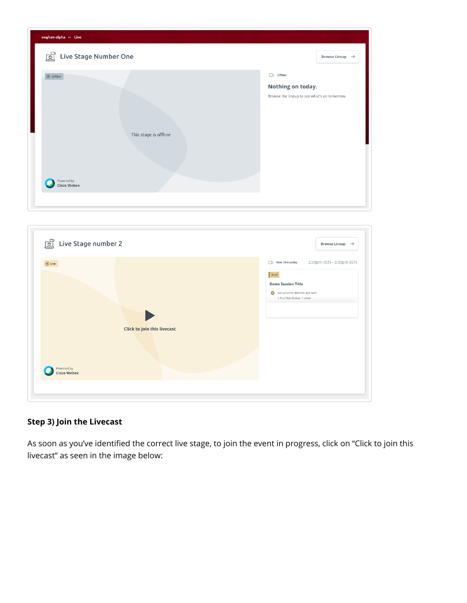| eoghan-alpha » Live                                                            |                                                                              |
|--------------------------------------------------------------------------------|------------------------------------------------------------------------------|
| E<br>Live Stage Number One                                                     | Browse Lineup $\rightarrow$                                                  |
| $\otimes$ offline<br>This stage is offline<br>Powered by<br><b>Cisco Webex</b> | offline<br>Nothing on today.<br>Browse the lineup to see what's on tomorrow. |
|                                                                                |                                                                              |

| <b>Fig.</b> Live Stage number 2                                          | Browse Lineup $\rightarrow$                                                                                                                      |
|--------------------------------------------------------------------------|--------------------------------------------------------------------------------------------------------------------------------------------------|
| $\odot$ Live<br>Click to join this livecast<br>Powered by<br>Cisco Webex | 2:30pm (IST) - 3:30pm (IST)<br>Now Livecasting<br>oral<br><b>Demo Session Title</b><br>Voluptatem dolores aut nam.<br>» Prof Nat Stokes, 1 other |

## **Step 3) Join the Livecast**

As soon as you've identified the correct live stage, to join the event in progress, click on "Click to join this livecast" as seen in the image below: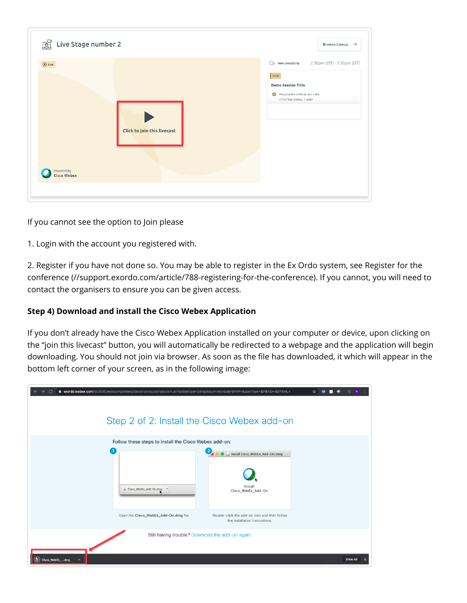| <b>DEL</b> Live Stage number 2   |                             | Browse Lineup $\rightarrow$                                                                                                                             |
|----------------------------------|-----------------------------|---------------------------------------------------------------------------------------------------------------------------------------------------------|
| $\odot$ Live                     | Click to join this livecast | 2:30pm (IST) - 3:30pm (IST)<br>Now Livecasting<br><b>Oral</b><br><b>Demo Session Title</b><br>Voluptatem dolores aut nam.<br>» Prof Nat Stokes, 1 other |
| Powered by<br><b>Cisco Webex</b> |                             |                                                                                                                                                         |
|                                  |                             |                                                                                                                                                         |

If you cannot see the option to Join please

1. Login with the account you registered with.

2. Register if you have not done so. You may be able to register in the Ex Ordo system, see Register for the [conference \(//support.exordo.com/article/788-registering-for-the-conference\). If you cannot, you will need](https://support.exordo.com/article/788-registering-for-the-conference) to contact the organisers to ensure you can be given access.

#### **Step 4) Download and install the Cisco Webex Application**

If you don't already have the Cisco Webex Application installed on your computer or device, upon clicking on the "join this livecast" button, you will automatically be redirected to a webpage and the application will begin downloading. You should not join via browser. As soon as the file has downloaded, it which will appear in the bottom left corner of your screen, as in the following image:

| a exordo.webex.com/ec3300/webcomponents/docshow/ecstartsession.do?actionType=join&siteurl=exordo&PBAVF=&userType=&PBAID=&SPXML= | ☆<br>Step 2 of 2: Install the Cisco Webex add-on                               |
|---------------------------------------------------------------------------------------------------------------------------------|--------------------------------------------------------------------------------|
|                                                                                                                                 |                                                                                |
| Follow these steps to install the Cisco Webex add-on:<br>$\overline{1}$<br>Cisco_WebEx_Add-On.dmg                               | 2<br>Install Cisco_WebEx_Add-On.dmg<br>Install<br>Cisco_WebEx_Add-On           |
| Open the Cisco_WebEx_Add-On.dmg file.                                                                                           | Double-click the add-on icon and then follow<br>the installation instructions. |
| Cisco_WebEx_dmg                                                                                                                 | Still having trouble? Download the add-on again.<br>Show All<br>$\times$       |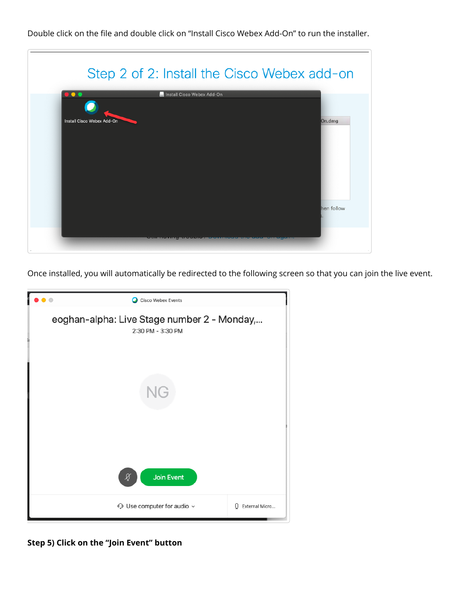Double click on the file and double click on "Install Cisco Webex Add-On" to run the installer.

|                            | Install Cisco Webex Add-On |            |
|----------------------------|----------------------------|------------|
| Install Cisco Webex Add-On |                            | On.dmg     |
|                            |                            |            |
|                            |                            |            |
|                            |                            |            |
|                            |                            | hen follow |

Once installed, you will automatically be redirected to the following screen so that you can join the live event.



**Step 5) Click on the "Join Event" button**